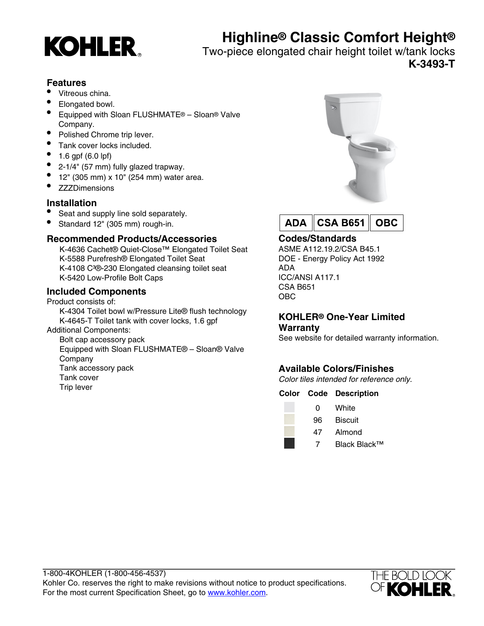

# **Highline® Classic Comfort Height®**

Two-piece elongated chair height toilet w/tank locks **K-3493-T**

# **Features**

- Vitreous china.
- Elongated bowl.
- Equipped with Sloan FLUSHMATE® Sloan® Valve Company.
- Polished Chrome trip lever.
- Tank cover locks included.
- 1.6 gpf (6.0 lpf)
- 2-1/4" (57 mm) fully glazed trapway.
- 12" (305 mm) x 10" (254 mm) water area.
- **ZZZDimensions**

# **Installation**

- Seat and supply line sold separately.
- Standard 12" (305 mm) rough-in.

# **Recommended Products/Accessories**

K-4636 Cachet® Quiet-Close™ Elongated Toilet Seat K-5588 Purefresh® Elongated Toilet Seat K-4108 C<sup>3</sup>®-230 Elongated cleansing toilet seat K-5420 Low-Profile Bolt Caps

# **Included Components**

#### Product consists of:

K-4304 Toilet bowl w/Pressure Lite® flush technology K-4645-T Toilet tank with cover locks, 1.6 gpf

# Additional Components:

Bolt cap accessory pack Equipped with Sloan FLUSHMATE® – Sloan® Valve Company Tank accessory pack Tank cover Trip lever





# **Codes/Standards**

ASME A112.19.2/CSA B45.1 DOE - Energy Policy Act 1992 ADA ICC/ANSI A117.1 CSA B651 OBC

#### **KOHLER® One-Year Limited Warranty**

See website for detailed warranty information.

# **Available Colors/Finishes**

Color tiles intended for reference only.

#### **Color Code Description**

| 0 | White |
|---|-------|
|   |       |

- 96 Biscuit
- 47 Almond
	- 7 Black Black™